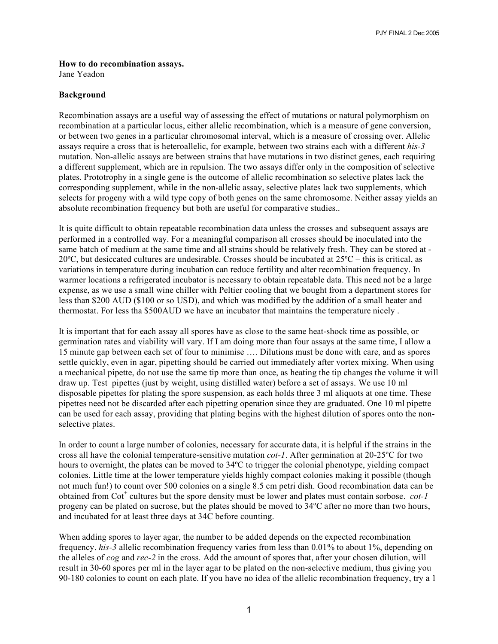PJY FINAL 2 Dec 2005

## **How to do recombination assays.**

Jane Yeadon

## **Background**

Recombination assays are a useful way of assessing the effect of mutations or natural polymorphism on recombination at a particular locus, either allelic recombination, which is a measure of gene conversion, or between two genes in a particular chromosomal interval, which is a measure of crossing over. Allelic assays require a cross that is heteroallelic, for example, between two strains each with a different *his-3* mutation. Non-allelic assays are between strains that have mutations in two distinct genes, each requiring a different supplement, which are in repulsion. The two assays differ only in the composition of selective plates. Prototrophy in a single gene is the outcome of allelic recombination so selective plates lack the corresponding supplement, while in the non-allelic assay, selective plates lack two supplements, which selects for progeny with a wild type copy of both genes on the same chromosome. Neither assay yields an absolute recombination frequency but both are useful for comparative studies..

It is quite difficult to obtain repeatable recombination data unless the crosses and subsequent assays are performed in a controlled way. For a meaningful comparison all crosses should be inoculated into the same batch of medium at the same time and all strains should be relatively fresh. They can be stored at - 20 $^{\circ}$ C, but desiccated cultures are undesirable. Crosses should be incubated at  $25^{\circ}$ C – this is critical, as variations in temperature during incubation can reduce fertility and alter recombination frequency. In warmer locations a refrigerated incubator is necessary to obtain repeatable data. This need not be a large expense, as we use a small wine chiller with Peltier cooling that we bought from a department stores for less than \$200 AUD (\$100 or so USD), and which was modified by the addition of a small heater and thermostat. For less tha \$500AUD we have an incubator that maintains the temperature nicely .

It is important that for each assay all spores have as close to the same heat-shock time as possible, or germination rates and viability will vary. If I am doing more than four assays at the same time, I allow a 15 minute gap between each set of four to minimise …. Dilutions must be done with care, and as spores settle quickly, even in agar, pipetting should be carried out immediately after vortex mixing. When using a mechanical pipette, do not use the same tip more than once, as heating the tip changes the volume it will draw up. Test pipettes (just by weight, using distilled water) before a set of assays. We use 10 ml disposable pipettes for plating the spore suspension, as each holds three 3 ml aliquots at one time. These pipettes need not be discarded after each pipetting operation since they are graduated. One 10 ml pipette can be used for each assay, providing that plating begins with the highest dilution of spores onto the nonselective plates.

In order to count a large number of colonies, necessary for accurate data, it is helpful if the strains in the cross all have the colonial temperature-sensitive mutation *cot-1*. After germination at 20-25ºC for two hours to overnight, the plates can be moved to 34ºC to trigger the colonial phenotype, yielding compact colonies. Little time at the lower temperature yields highly compact colonies making it possible (though not much fun!) to count over 500 colonies on a single 8.5 cm petri dish. Good recombination data can be obtained from Cot<sup>+</sup> cultures but the spore density must be lower and plates must contain sorbose. *cot-1* progeny can be plated on sucrose, but the plates should be moved to 34ºC after no more than two hours, and incubated for at least three days at 34C before counting.

When adding spores to layer agar, the number to be added depends on the expected recombination frequency. *his-3* allelic recombination frequency varies from less than 0.01% to about 1%, depending on the alleles of *cog* and *rec-2* in the cross. Add the amount of spores that, after your chosen dilution, will result in 30-60 spores per ml in the layer agar to be plated on the non-selective medium, thus giving you 90-180 colonies to count on each plate. If you have no idea of the allelic recombination frequency, try a 1